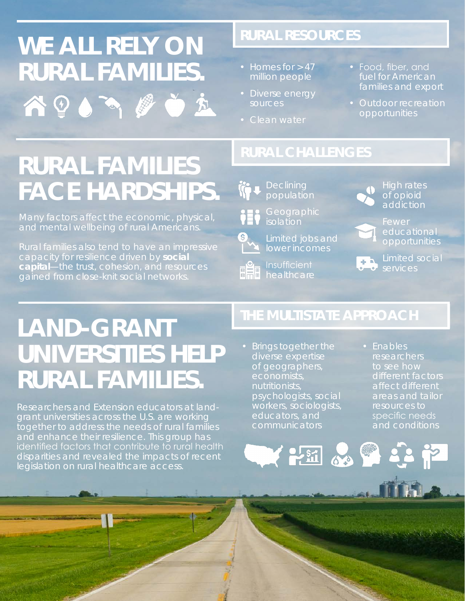# **WE ALL RELY ON RURAL FAMILIES.**  $\cdot$  Homes for > 47 ADO ADO E

## **RURAL RESOURCES**

- million people
- Diverse energy sources
- Clean water
- Food, fiber, and fuel for American families and export
- opportunities

# **RURAL FAMILIES FACE HARDSHIPS.**

Many factors affect the economic, physical, and mental wellbeing of rural Americans.

Rural families also tend to have an impressive capacity for resilience driven by **social capital**—*the trust, cohesion, and resources gained from close-knit social networks*.



population



Limited jobs and lower incomes

Insufficient

High rates of opioid addiction



educational opportunities

**Limited social Services** 

# **LAND-GRANT UNIVERSITIES HELP RURAL FAMILIES.**

Researchers and Extension educators at landgrant universities across the U.S. are working together to address the needs of rural families and enhance their resilience. This group has identified factors that contribute to rural health disparities and revealed the impacts of recent legislation on rural healthcare access.

### **THE MULTISTATE APPROACH**

**EE & & Q Q P** 

- Brings together the of geographers, economists, nutritionists, psychologists, social workers, sociologists, educators, and
- Enables researchers to see how different factors areas and tailor resources to specific needs and conditions

all the state of the state of the state